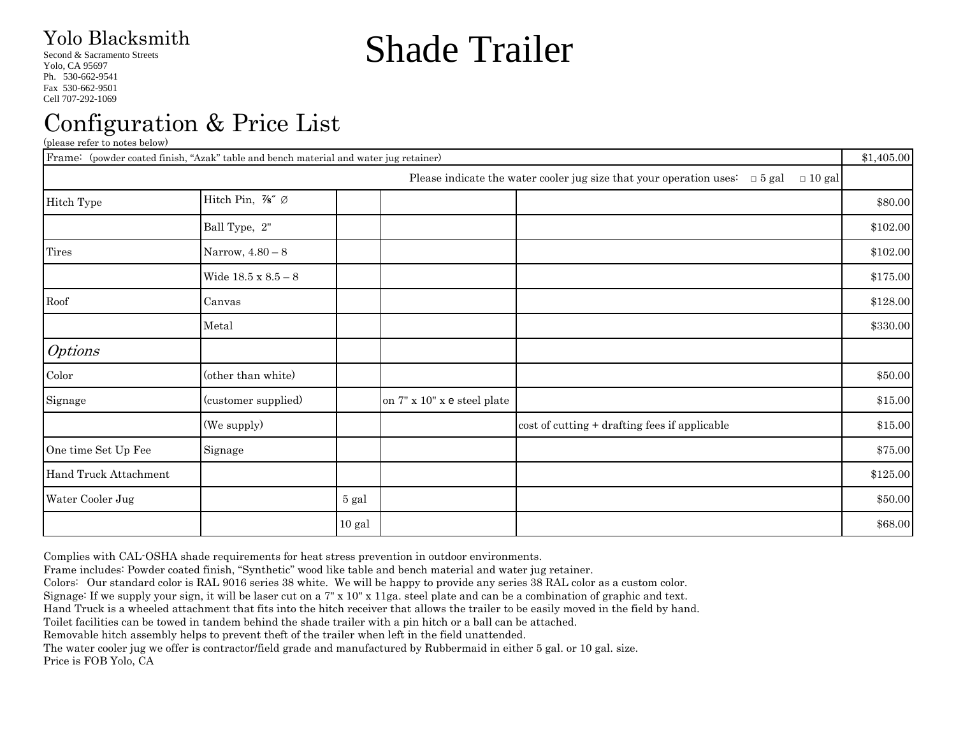#### Yolo Blacksmith

Second & Sacramento Streets

Yolo, CA 95697 Ph. 530-662-9541 Fax 530-662-9501 Cell 707-292-1069

# Shade Trailer

## Configuration & Price List

(please refer to notes below)

| Frame: (powder coated finish, "Azak" table and bench material and water jug retainer) |                            |          | \$1,405.00                  |                                                                                                   |          |
|---------------------------------------------------------------------------------------|----------------------------|----------|-----------------------------|---------------------------------------------------------------------------------------------------|----------|
|                                                                                       |                            |          |                             | Please indicate the water cooler jug size that your operation uses: $\Box$ 5 gal<br>$\Box$ 10 gal |          |
| Hitch Type                                                                            | Hitch Pin, %" Ø            |          |                             |                                                                                                   | \$80.00  |
|                                                                                       | Ball Type, 2"              |          |                             |                                                                                                   | \$102.00 |
| <b>Tires</b>                                                                          | Narrow, $4.80 - 8$         |          |                             |                                                                                                   | \$102.00 |
|                                                                                       | Wide $18.5 \times 8.5 - 8$ |          |                             |                                                                                                   | \$175.00 |
| Roof                                                                                  | Canvas                     |          |                             |                                                                                                   | \$128.00 |
|                                                                                       | Metal                      |          |                             |                                                                                                   | \$330.00 |
| <b>Options</b>                                                                        |                            |          |                             |                                                                                                   |          |
| Color                                                                                 | (other than white)         |          |                             |                                                                                                   | \$50.00  |
| Signage                                                                               | (customer supplied)        |          | on 7" x 10" x e steel plate |                                                                                                   | \$15.00  |
|                                                                                       | (We supply)                |          |                             | cost of cutting + drafting fees if applicable                                                     | \$15.00  |
| One time Set Up Fee                                                                   | Signage                    |          |                             |                                                                                                   | \$75.00  |
| Hand Truck Attachment                                                                 |                            |          |                             |                                                                                                   | \$125.00 |
| Water Cooler Jug                                                                      |                            | 5 gal    |                             |                                                                                                   | \$50.00  |
|                                                                                       |                            | $10$ gal |                             |                                                                                                   | \$68.00  |

Complies with CAL-OSHA shade requirements for heat stress prevention in outdoor environments.

Frame includes: Powder coated finish, "Synthetic" wood like table and bench material and water jug retainer.

Colors: Our standard color is RAL 9016 series 38 white. We will be happy to provide any series 38 RAL color as a custom color.

Signage: If we supply your sign, it will be laser cut on a 7" x 10" x 11ga. steel plate and can be a combination of graphic and text.

Hand Truck is a wheeled attachment that fits into the hitch receiver that allows the trailer to be easily moved in the field by hand.

Toilet facilities can be towed in tandem behind the shade trailer with a pin hitch or a ball can be attached.

Removable hitch assembly helps to prevent theft of the trailer when left in the field unattended.

The water cooler jug we offer is contractor/field grade and manufactured by Rubbermaid in either 5 gal. or 10 gal. size. Price is FOB Yolo, CA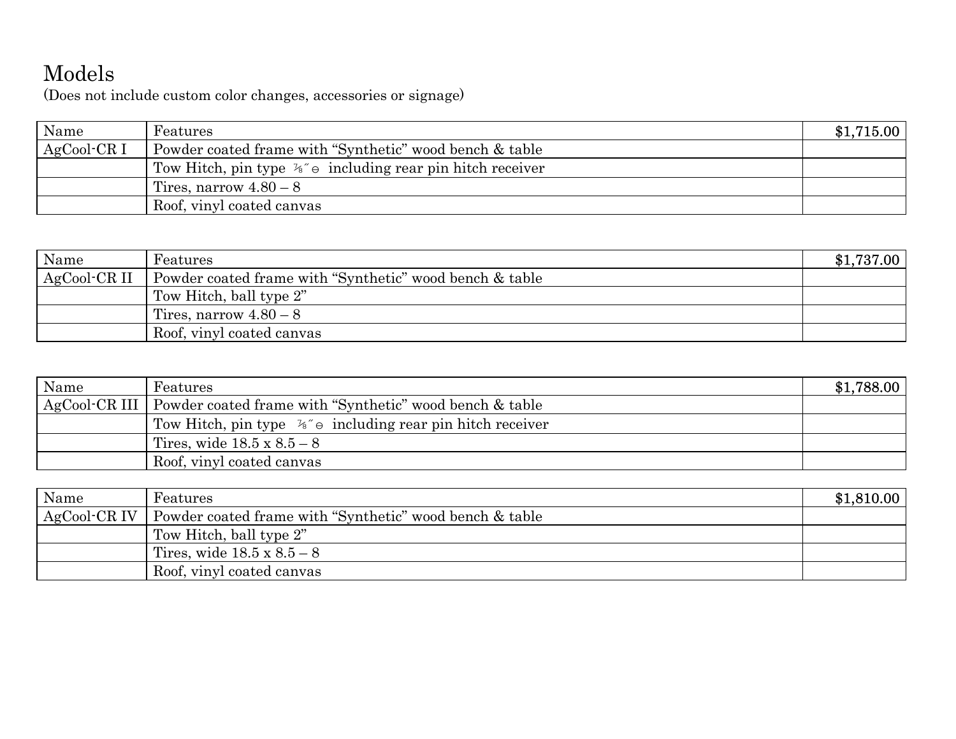### Models

(Does not include custom color changes, accessories or signage)

| Name         | Features                                                              | \$1,715.00 |
|--------------|-----------------------------------------------------------------------|------------|
| $AgCool-CR1$ | Powder coated frame with "Synthetic" wood bench & table               |            |
|              | Tow Hitch, pin type $\frac{1}{6}$ o including rear pin hitch receiver |            |
|              | Tires, narrow $4.80 - 8$                                              |            |
|              | Roof, vinyl coated canvas                                             |            |

| Name         | Features                                                | \$1,737.00 |
|--------------|---------------------------------------------------------|------------|
| AgCool-CR II | Powder coated frame with "Synthetic" wood bench & table |            |
|              | Tow Hitch, ball type 2"                                 |            |
|              | Tires, narrow $4.80 - 8$                                |            |
|              | Roof, vinyl coated canvas                               |            |

| Name | Features                                                              | \$1,788.00 |
|------|-----------------------------------------------------------------------|------------|
|      | AgCool-CR III Powder coated frame with "Synthetic" wood bench & table |            |
|      | Tow Hitch, pin type $\frac{1}{6}$ o including rear pin hitch receiver |            |
|      | Tires, wide $18.5 \times 8.5 - 8$                                     |            |
|      | Roof, vinyl coated canvas                                             |            |

| Name | Features                                                               | \$1,810.00 |
|------|------------------------------------------------------------------------|------------|
|      | AgCool CR IV   Powder coated frame with "Synthetic" wood bench & table |            |
|      | Tow Hitch, ball type 2"                                                |            |
|      | Tires, wide $18.5 \times 8.5 - 8$                                      |            |
|      | Roof, vinyl coated canvas                                              |            |